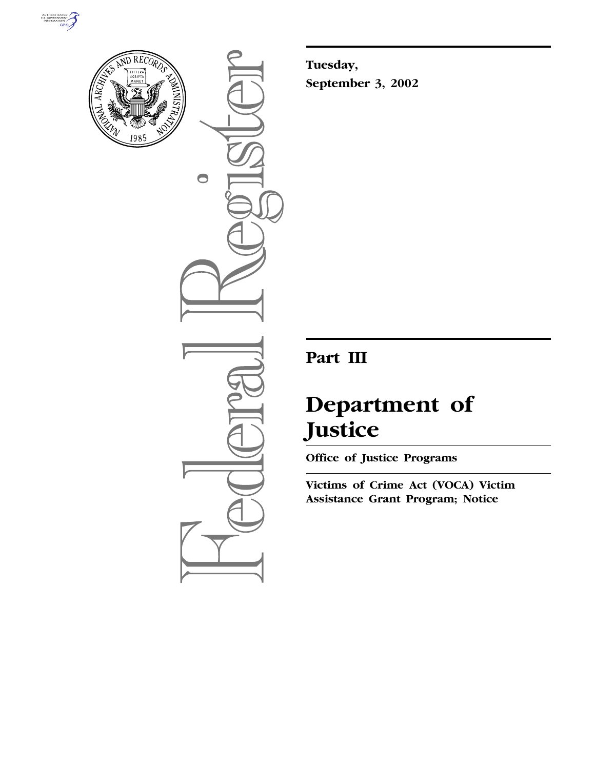



 $\bullet$ 

**Tuesday, September 3, 2002**

# **Part III**

# **Department of Justice**

**Office of Justice Programs** 

**Victims of Crime Act (VOCA) Victim Assistance Grant Program; Notice**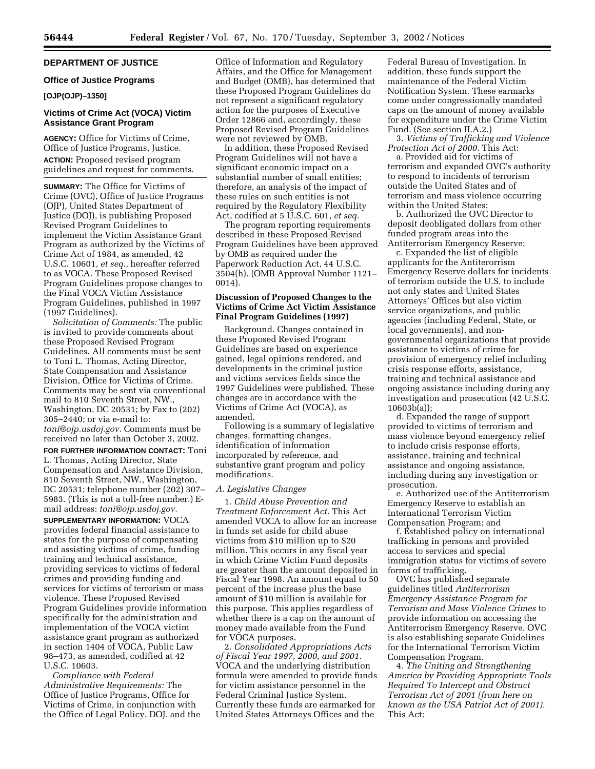# **DEPARTMENT OF JUSTICE**

#### **Office of Justice Programs**

# **[OJP(OJP)–1350]**

# **Victims of Crime Act (VOCA) Victim Assistance Grant Program**

**AGENCY:** Office for Victims of Crime, Office of Justice Programs, Justice. **ACTION:** Proposed revised program guidelines and request for comments.

**SUMMARY:** The Office for Victims of Crime (OVC), Office of Justice Programs (OJP), United States Department of Justice (DOJ), is publishing Proposed Revised Program Guidelines to implement the Victim Assistance Grant Program as authorized by the Victims of Crime Act of 1984, as amended, 42 U.S.C. 10601, *et seq.*, hereafter referred to as VOCA. These Proposed Revised Program Guidelines propose changes to the Final VOCA Victim Assistance Program Guidelines, published in 1997 (1997 Guidelines).

*Solicitation of Comments:* The public is invited to provide comments about these Proposed Revised Program Guidelines. All comments must be sent to Toni L. Thomas, Acting Director, State Compensation and Assistance Division, Office for Victims of Crime. Comments may be sent via conventional mail to 810 Seventh Street, NW., Washington, DC 20531; by Fax to (202) 305–2440; or via e-mail to: *toni@ojp.usdoj.gov.* Comments must be received no later than October 3, 2002.

**FOR FURTHER INFORMATION CONTACT:** Toni L. Thomas, Acting Director, State Compensation and Assistance Division, 810 Seventh Street, NW., Washington, DC 20531; telephone number (202) 307– 5983. (This is not a toll-free number.) Email address: *toni@ojp.usdoj.gov.*

**SUPPLEMENTARY INFORMATION:** VOCA provides federal financial assistance to states for the purpose of compensating and assisting victims of crime, funding training and technical assistance, providing services to victims of federal crimes and providing funding and services for victims of terrorism or mass violence. These Proposed Revised Program Guidelines provide information specifically for the administration and implementation of the VOCA victim assistance grant program as authorized in section 1404 of VOCA, Public Law 98–473, as amended, codified at 42 U.S.C. 10603.

*Compliance with Federal Administrative Requirements:* The Office of Justice Programs, Office for Victims of Crime, in conjunction with the Office of Legal Policy, DOJ, and the Office of Information and Regulatory Affairs, and the Office for Management and Budget (OMB), has determined that these Proposed Program Guidelines do not represent a significant regulatory action for the purposes of Executive Order 12866 and, accordingly, these Proposed Revised Program Guidelines were not reviewed by OMB.

In addition, these Proposed Revised Program Guidelines will not have a significant economic impact on a substantial number of small entities; therefore, an analysis of the impact of these rules on such entities is not required by the Regulatory Flexibility Act, codified at 5 U.S.C. 601, *et seq.*

The program reporting requirements described in these Proposed Revised Program Guidelines have been approved by OMB as required under the Paperwork Reduction Act, 44 U.S.C. 3504(h). (OMB Approval Number 1121– 0014).

# **Discussion of Proposed Changes to the Victims of Crime Act Victim Assistance Final Program Guidelines (1997)**

Background. Changes contained in these Proposed Revised Program Guidelines are based on experience gained, legal opinions rendered, and developments in the criminal justice and victims services fields since the 1997 Guidelines were published. These changes are in accordance with the Victims of Crime Act (VOCA), as amended.

Following is a summary of legislative changes, formatting changes, identification of information incorporated by reference, and substantive grant program and policy modifications.

#### *A. Legislative Changes*

1. *Child Abuse Prevention and Treatment Enforcement Act.* This Act amended VOCA to allow for an increase in funds set aside for child abuse victims from \$10 million up to \$20 million. This occurs in any fiscal year in which Crime Victim Fund deposits are greater than the amount deposited in Fiscal Year 1998. An amount equal to 50 percent of the increase plus the base amount of \$10 million is available for this purpose. This applies regardless of whether there is a cap on the amount of money made available from the Fund for VOCA purposes.

2. *Consolidated Appropriations Acts of Fiscal Year 1997, 2000, and 2001.* VOCA and the underlying distribution formula were amended to provide funds for victim assistance personnel in the Federal Criminal Justice System. Currently these funds are earmarked for United States Attorneys Offices and the

Federal Bureau of Investigation. In addition, these funds support the maintenance of the Federal Victim Notification System. These earmarks come under congressionally mandated caps on the amount of money available for expenditure under the Crime Victim Fund. (See section II.A.2.)

3. *Victims of Trafficking and Violence Protection Act of 2000.* This Act:

a. Provided aid for victims of terrorism and expanded OVC's authority to respond to incidents of terrorism outside the United States and of terrorism and mass violence occurring within the United States;

b. Authorized the OVC Director to deposit deobligated dollars from other funded program areas into the Antiterrorism Emergency Reserve;

c. Expanded the list of eligible applicants for the Antiterorrism Emergency Reserve dollars for incidents of terrorism outside the U.S. to include not only states and United States Attorneys' Offices but also victim service organizations, and public agencies (including Federal, State, or local governments), and nongovernmental organizations that provide assistance to victims of crime for provision of emergency relief including crisis response efforts, assistance, training and technical assistance and ongoing assistance including during any investigation and prosecution (42 U.S.C. 10603b(a));

d. Expanded the range of support provided to victims of terrorism and mass violence beyond emergency relief to include crisis response efforts, assistance, training and technical assistance and ongoing assistance, including during any investigation or prosecution.

e. Authorized use of the Antiterrorism Emergency Reserve to establish an International Terrorism Victim Compensation Program; and

f. Established policy on international trafficking in persons and provided access to services and special immigration status for victims of severe forms of trafficking.

OVC has published separate guidelines titled *Antiterrorism Emergency Assistance Program for Terrorism and Mass Violence Crimes* to provide information on accessing the Antiterrorism Emergency Reserve. OVC is also establishing separate Guidelines for the International Terrorism Victim Compensation Program.

4. *The Uniting and Strengthening America by Providing Appropriate Tools Required To Intercept and Obstruct Terrorism Act of 2001 (from here on known as the USA Patriot Act of 2001).* This Act: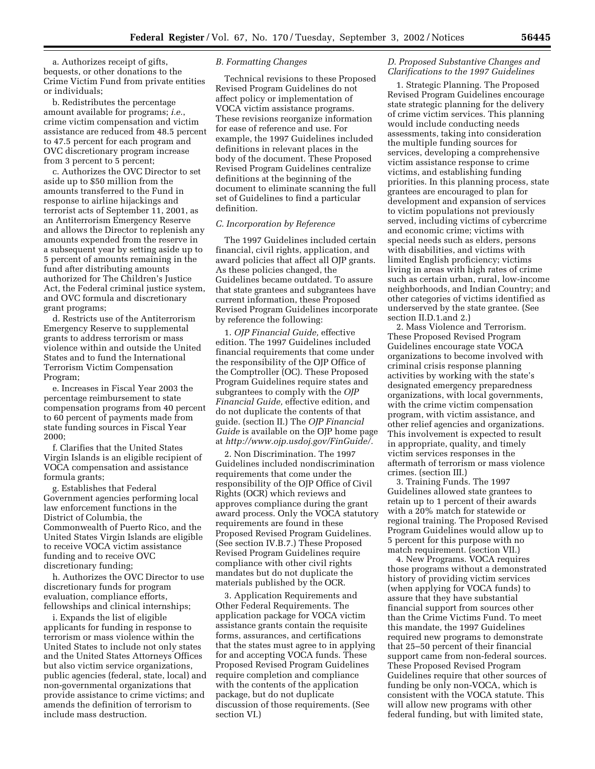a. Authorizes receipt of gifts, bequests, or other donations to the Crime Victim Fund from private entities or individuals;

b. Redistributes the percentage amount available for programs; *i.e.*, crime victim compensation and victim assistance are reduced from 48.5 percent to 47.5 percent for each program and OVC discretionary program increase from 3 percent to 5 percent;

c. Authorizes the OVC Director to set aside up to \$50 million from the amounts transferred to the Fund in response to airline hijackings and terrorist acts of September 11, 2001, as an Antiterrorism Emergency Reserve and allows the Director to replenish any amounts expended from the reserve in a subsequent year by setting aside up to 5 percent of amounts remaining in the fund after distributing amounts authorized for The Children's Justice Act, the Federal criminal justice system, and OVC formula and discretionary grant programs;

d. Restricts use of the Antiterrorism Emergency Reserve to supplemental grants to address terrorism or mass violence within and outside the United States and to fund the International Terrorism Victim Compensation Program;

e. Increases in Fiscal Year 2003 the percentage reimbursement to state compensation programs from 40 percent to 60 percent of payments made from state funding sources in Fiscal Year 2000;

f. Clarifies that the United States Virgin Islands is an eligible recipient of VOCA compensation and assistance formula grants;

g. Establishes that Federal Government agencies performing local law enforcement functions in the District of Columbia, the Commonwealth of Puerto Rico, and the United States Virgin Islands are eligible to receive VOCA victim assistance funding and to receive OVC discretionary funding;

h. Authorizes the OVC Director to use discretionary funds for program evaluation, compliance efforts, fellowships and clinical internships;

i. Expands the list of eligible applicants for funding in response to terrorism or mass violence within the United States to include not only states and the United States Attorneys Offices but also victim service organizations, public agencies (federal, state, local) and non-governmental organizations that provide assistance to crime victims; and amends the definition of terrorism to include mass destruction.

# *B. Formatting Changes*

Technical revisions to these Proposed Revised Program Guidelines do not affect policy or implementation of VOCA victim assistance programs. These revisions reorganize information for ease of reference and use. For example, the 1997 Guidelines included definitions in relevant places in the body of the document. These Proposed Revised Program Guidelines centralize definitions at the beginning of the document to eliminate scanning the full set of Guidelines to find a particular definition.

#### *C. Incorporation by Reference*

The 1997 Guidelines included certain financial, civil rights, application, and award policies that affect all OJP grants. As these policies changed, the Guidelines became outdated. To assure that state grantees and subgrantees have current information, these Proposed Revised Program Guidelines incorporate by reference the following:

1. *OJP Financial Guide,* effective edition. The 1997 Guidelines included financial requirements that come under the responsibility of the OJP Office of the Comptroller (OC). These Proposed Program Guidelines require states and subgrantees to comply with the *OJP Financial Guide,* effective edition, and do not duplicate the contents of that guide. (section II.) The *OJP Financial Guide* is available on the OJP home page at *http://www.ojp.usdoj.gov/FinGuide/.*

2. Non Discrimination. The 1997 Guidelines included nondiscrimination requirements that come under the responsibility of the OJP Office of Civil Rights (OCR) which reviews and approves compliance during the grant award process. Only the VOCA statutory requirements are found in these Proposed Revised Program Guidelines. (See section IV.B.7.) These Proposed Revised Program Guidelines require compliance with other civil rights mandates but do not duplicate the materials published by the OCR.

3. Application Requirements and Other Federal Requirements. The application package for VOCA victim assistance grants contain the requisite forms, assurances, and certifications that the states must agree to in applying for and accepting VOCA funds. These Proposed Revised Program Guidelines require completion and compliance with the contents of the application package, but do not duplicate discussion of those requirements. (See section VI.)

# *D. Proposed Substantive Changes and Clarifications to the 1997 Guidelines*

1. Strategic Planning. The Proposed Revised Program Guidelines encourage state strategic planning for the delivery of crime victim services. This planning would include conducting needs assessments, taking into consideration the multiple funding sources for services, developing a comprehensive victim assistance response to crime victims, and establishing funding priorities. In this planning process, state grantees are encouraged to plan for development and expansion of services to victim populations not previously served, including victims of cybercrime and economic crime; victims with special needs such as elders, persons with disabilities, and victims with limited English proficiency; victims living in areas with high rates of crime such as certain urban, rural, low-income neighborhoods, and Indian Country; and other categories of victims identified as underserved by the state grantee. (See section II.D.1.and 2.)

2. Mass Violence and Terrorism. These Proposed Revised Program Guidelines encourage state VOCA organizations to become involved with criminal crisis response planning activities by working with the state's designated emergency preparedness organizations, with local governments, with the crime victim compensation program, with victim assistance, and other relief agencies and organizations. This involvement is expected to result in appropriate, quality, and timely victim services responses in the aftermath of terrorism or mass violence crimes. (section III.)

3. Training Funds. The 1997 Guidelines allowed state grantees to retain up to 1 percent of their awards with a 20% match for statewide or regional training. The Proposed Revised Program Guidelines would allow up to 5 percent for this purpose with no match requirement. (section VII.)

4. New Programs. VOCA requires those programs without a demonstrated history of providing victim services (when applying for VOCA funds) to assure that they have substantial financial support from sources other than the Crime Victims Fund. To meet this mandate, the 1997 Guidelines required new programs to demonstrate that 25–50 percent of their financial support came from non-federal sources. These Proposed Revised Program Guidelines require that other sources of funding be only non-VOCA, which is consistent with the VOCA statute. This will allow new programs with other federal funding, but with limited state,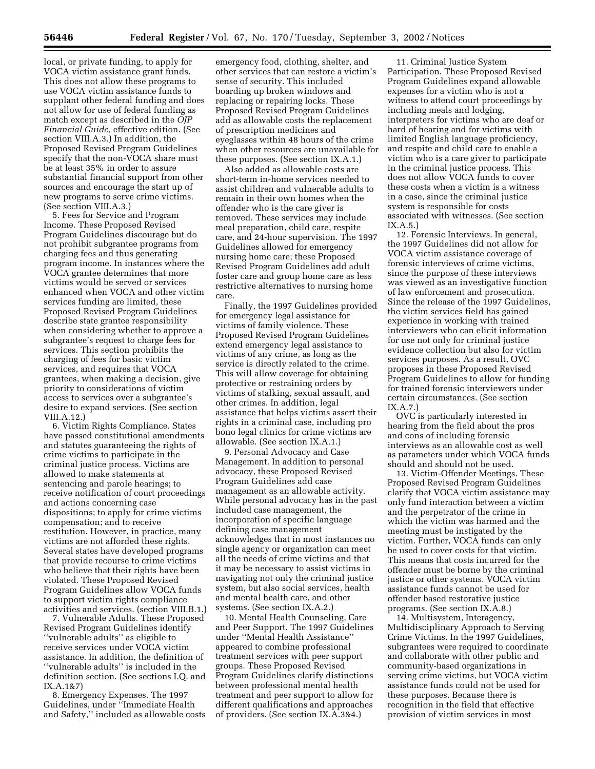local, or private funding, to apply for VOCA victim assistance grant funds. This does not allow these programs to use VOCA victim assistance funds to supplant other federal funding and does not allow for use of federal funding as match except as described in the *OJP Financial Guide,* effective edition. (See section VIII.A.3.) In addition, the Proposed Revised Program Guidelines specify that the non-VOCA share must be at least 35% in order to assure substantial financial support from other sources and encourage the start up of new programs to serve crime victims. (See section VIII.A.3.)

5. Fees for Service and Program Income. These Proposed Revised Program Guidelines discourage but do not prohibit subgrantee programs from charging fees and thus generating program income. In instances where the VOCA grantee determines that more victims would be served or services enhanced when VOCA and other victim services funding are limited, these Proposed Revised Program Guidelines describe state grantee responsibility when considering whether to approve a subgrantee's request to charge fees for services. This section prohibits the charging of fees for basic victim services, and requires that VOCA grantees, when making a decision, give priority to considerations of victim access to services over a subgrantee's desire to expand services. (See section VIII.A.12.)

6. Victim Rights Compliance. States have passed constitutional amendments and statutes guaranteeing the rights of crime victims to participate in the criminal justice process. Victims are allowed to make statements at sentencing and parole hearings; to receive notification of court proceedings and actions concerning case dispositions; to apply for crime victims compensation; and to receive restitution. However, in practice, many victims are not afforded these rights. Several states have developed programs that provide recourse to crime victims who believe that their rights have been violated. These Proposed Revised Program Guidelines allow VOCA funds to support victim rights compliance activities and services. (section VIII.B.1.)

7. Vulnerable Adults. These Proposed Revised Program Guidelines identify ''vulnerable adults'' as eligible to receive services under VOCA victim assistance. In addition, the definition of ''vulnerable adults'' is included in the definition section. (See sections I.Q. and IX.A.1&7)

8. Emergency Expenses. The 1997 Guidelines, under ''Immediate Health and Safety,'' included as allowable costs

emergency food, clothing, shelter, and other services that can restore a victim's sense of security. This included boarding up broken windows and replacing or repairing locks. These Proposed Revised Program Guidelines add as allowable costs the replacement of prescription medicines and eyeglasses within 48 hours of the crime when other resources are unavailable for these purposes. (See section IX.A.1.)

Also added as allowable costs are short-term in-home services needed to assist children and vulnerable adults to remain in their own homes when the offender who is the care giver is removed. These services may include meal preparation, child care, respite care, and 24-hour supervision. The 1997 Guidelines allowed for emergency nursing home care; these Proposed Revised Program Guidelines add adult foster care and group home care as less restrictive alternatives to nursing home care.

Finally, the 1997 Guidelines provided for emergency legal assistance for victims of family violence. These Proposed Revised Program Guidelines extend emergency legal assistance to victims of any crime, as long as the service is directly related to the crime. This will allow coverage for obtaining protective or restraining orders by victims of stalking, sexual assault, and other crimes. In addition, legal assistance that helps victims assert their rights in a criminal case, including pro bono legal clinics for crime victims are allowable. (See section IX.A.1.)

9. Personal Advocacy and Case Management. In addition to personal advocacy, these Proposed Revised Program Guidelines add case management as an allowable activity. While personal advocacy has in the past included case management, the incorporation of specific language defining case management acknowledges that in most instances no single agency or organization can meet all the needs of crime victims and that it may be necessary to assist victims in navigating not only the criminal justice system, but also social services, health and mental health care, and other systems. (See section IX.A.2.)

10. Mental Health Counseling, Care and Peer Support. The 1997 Guidelines under ''Mental Health Assistance'' appeared to combine professional treatment services with peer support groups. These Proposed Revised Program Guidelines clarify distinctions between professional mental health treatment and peer support to allow for different qualifications and approaches of providers. (See section IX.A.3&4.)

11. Criminal Justice System Participation. These Proposed Revised Program Guidelines expand allowable expenses for a victim who is not a witness to attend court proceedings by including meals and lodging, interpreters for victims who are deaf or hard of hearing and for victims with limited English language proficiency, and respite and child care to enable a victim who is a care giver to participate in the criminal justice process. This does not allow VOCA funds to cover these costs when a victim is a witness in a case, since the criminal justice system is responsible for costs associated with witnesses. (See section IX.A.5.)

12. Forensic Interviews. In general, the 1997 Guidelines did not allow for VOCA victim assistance coverage of forensic interviews of crime victims, since the purpose of these interviews was viewed as an investigative function of law enforcement and prosecution. Since the release of the 1997 Guidelines, the victim services field has gained experience in working with trained interviewers who can elicit information for use not only for criminal justice evidence collection but also for victim services purposes. As a result, OVC proposes in these Proposed Revised Program Guidelines to allow for funding for trained forensic interviewers under certain circumstances. (See section IX.A.7.)

OVC is particularly interested in hearing from the field about the pros and cons of including forensic interviews as an allowable cost as well as parameters under which VOCA funds should and should not be used.

13. Victim-Offender Meetings. These Proposed Revised Program Guidelines clarify that VOCA victim assistance may only fund interaction between a victim and the perpetrator of the crime in which the victim was harmed and the meeting must be instigated by the victim. Further, VOCA funds can only be used to cover costs for that victim. This means that costs incurred for the offender must be borne by the criminal justice or other systems. VOCA victim assistance funds cannot be used for offender based restorative justice programs. (See section IX.A.8.)

14. Multisystem, Interagency, Multidisciplinary Approach to Serving Crime Victims. In the 1997 Guidelines, subgrantees were required to coordinate and collaborate with other public and community-based organizations in serving crime victims, but VOCA victim assistance funds could not be used for these purposes. Because there is recognition in the field that effective provision of victim services in most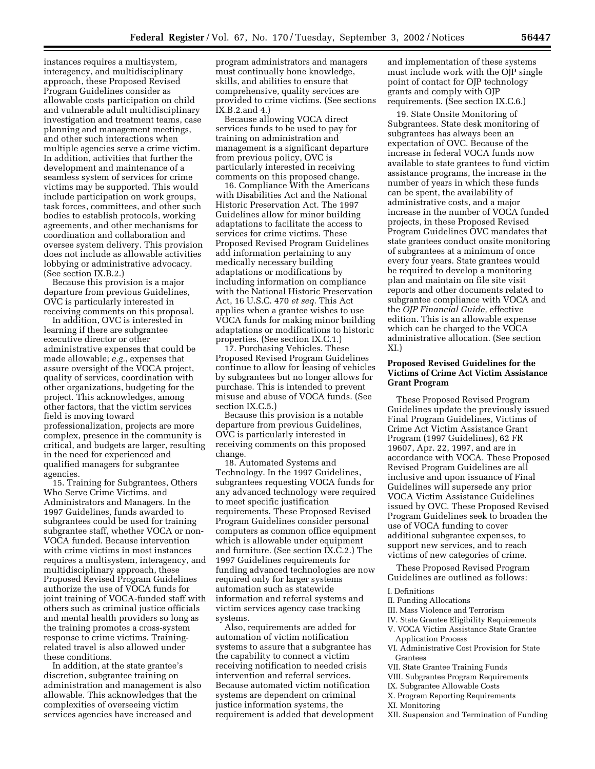instances requires a multisystem, interagency, and multidisciplinary approach, these Proposed Revised Program Guidelines consider as allowable costs participation on child and vulnerable adult multidisciplinary investigation and treatment teams, case planning and management meetings, and other such interactions when multiple agencies serve a crime victim. In addition, activities that further the development and maintenance of a seamless system of services for crime victims may be supported. This would include participation on work groups, task forces, committees, and other such bodies to establish protocols, working agreements, and other mechanisms for coordination and collaboration and oversee system delivery. This provision does not include as allowable activities lobbying or administrative advocacy. (See section IX.B.2.)

Because this provision is a major departure from previous Guidelines, OVC is particularly interested in receiving comments on this proposal.

In addition, OVC is interested in learning if there are subgrantee executive director or other administrative expenses that could be made allowable; *e.g.*, expenses that assure oversight of the VOCA project, quality of services, coordination with other organizations, budgeting for the project. This acknowledges, among other factors, that the victim services field is moving toward professionalization, projects are more complex, presence in the community is critical, and budgets are larger, resulting in the need for experienced and qualified managers for subgrantee agencies.

15. Training for Subgrantees, Others Who Serve Crime Victims, and Administrators and Managers. In the 1997 Guidelines, funds awarded to subgrantees could be used for training subgrantee staff, whether VOCA or non-VOCA funded. Because intervention with crime victims in most instances requires a multisystem, interagency, and multidisciplinary approach, these Proposed Revised Program Guidelines authorize the use of VOCA funds for joint training of VOCA-funded staff with others such as criminal justice officials and mental health providers so long as the training promotes a cross-system response to crime victims. Trainingrelated travel is also allowed under these conditions.

In addition, at the state grantee's discretion, subgrantee training on administration and management is also allowable. This acknowledges that the complexities of overseeing victim services agencies have increased and

program administrators and managers must continually hone knowledge, skills, and abilities to ensure that comprehensive, quality services are provided to crime victims. (See sections IX.B.2.and 4.)

Because allowing VOCA direct services funds to be used to pay for training on administration and management is a significant departure from previous policy, OVC is particularly interested in receiving comments on this proposed change.

16. Compliance With the Americans with Disabilities Act and the National Historic Preservation Act. The 1997 Guidelines allow for minor building adaptations to facilitate the access to services for crime victims. These Proposed Revised Program Guidelines add information pertaining to any medically necessary building adaptations or modifications by including information on compliance with the National Historic Preservation Act, 16 U.S.C. 470 *et seq.* This Act applies when a grantee wishes to use VOCA funds for making minor building adaptations or modifications to historic properties. (See section IX.C.1.)

17. Purchasing Vehicles. These Proposed Revised Program Guidelines continue to allow for leasing of vehicles by subgrantees but no longer allows for purchase. This is intended to prevent misuse and abuse of VOCA funds. (See section IX.C.5.)

Because this provision is a notable departure from previous Guidelines, OVC is particularly interested in receiving comments on this proposed change.

18. Automated Systems and Technology. In the 1997 Guidelines, subgrantees requesting VOCA funds for any advanced technology were required to meet specific justification requirements. These Proposed Revised Program Guidelines consider personal computers as common office equipment which is allowable under equipment and furniture. (See section IX.C.2.) The 1997 Guidelines requirements for funding advanced technologies are now required only for larger systems automation such as statewide information and referral systems and victim services agency case tracking systems.

Also, requirements are added for automation of victim notification systems to assure that a subgrantee has the capability to connect a victim receiving notification to needed crisis intervention and referral services. Because automated victim notification systems are dependent on criminal justice information systems, the requirement is added that development

and implementation of these systems must include work with the OJP single point of contact for OJP technology grants and comply with OJP requirements. (See section IX.C.6.)

19. State Onsite Monitoring of Subgrantees. State desk monitoring of subgrantees has always been an expectation of OVC. Because of the increase in federal VOCA funds now available to state grantees to fund victim assistance programs, the increase in the number of years in which these funds can be spent, the availability of administrative costs, and a major increase in the number of VOCA funded projects, in these Proposed Revised Program Guidelines OVC mandates that state grantees conduct onsite monitoring of subgrantees at a minimum of once every four years. State grantees would be required to develop a monitoring plan and maintain on file site visit reports and other documents related to subgrantee compliance with VOCA and the *OJP Financial Guide,* effective edition. This is an allowable expense which can be charged to the VOCA administrative allocation. (See section XI.)

# **Proposed Revised Guidelines for the Victims of Crime Act Victim Assistance Grant Program**

These Proposed Revised Program Guidelines update the previously issued Final Program Guidelines, Victims of Crime Act Victim Assistance Grant Program (1997 Guidelines), 62 FR 19607, Apr. 22, 1997, and are in accordance with VOCA. These Proposed Revised Program Guidelines are all inclusive and upon issuance of Final Guidelines will supersede any prior VOCA Victim Assistance Guidelines issued by OVC. These Proposed Revised Program Guidelines seek to broaden the use of VOCA funding to cover additional subgrantee expenses, to support new services, and to reach victims of new categories of crime.

These Proposed Revised Program Guidelines are outlined as follows:

#### I. Definitions

- II. Funding Allocations
- III. Mass Violence and Terrorism
- IV. State Grantee Eligibility Requirements
- V. VOCA Victim Assistance State Grantee Application Process
- VI. Administrative Cost Provision for State Grantees
- VII. State Grantee Training Funds
- VIII. Subgrantee Program Requirements
- IX. Subgrantee Allowable Costs

X. Program Reporting Requirements

- XI. Monitoring
- XII. Suspension and Termination of Funding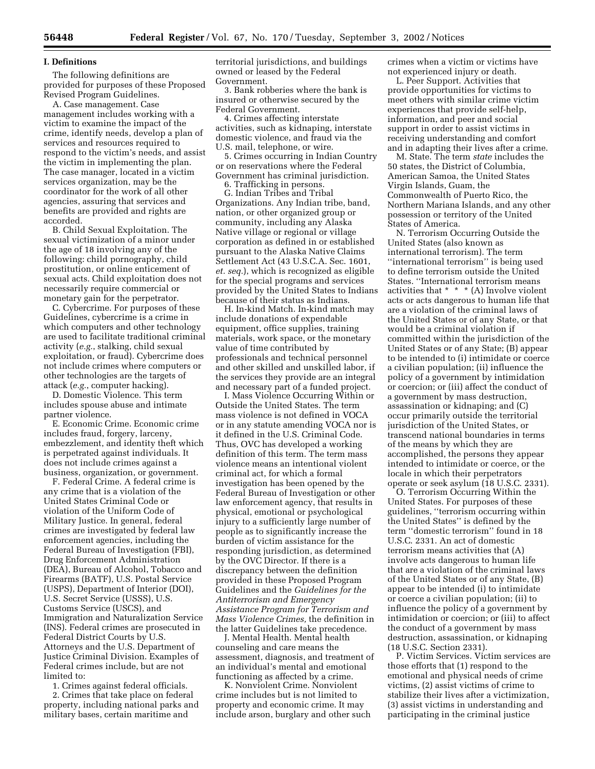#### **I. Definitions**

The following definitions are provided for purposes of these Proposed Revised Program Guidelines.

A. Case management. Case management includes working with a victim to examine the impact of the crime, identify needs, develop a plan of services and resources required to respond to the victim's needs, and assist the victim in implementing the plan. The case manager, located in a victim services organization, may be the coordinator for the work of all other agencies, assuring that services and benefits are provided and rights are accorded.

B. Child Sexual Exploitation. The sexual victimization of a minor under the age of 18 involving any of the following: child pornography, child prostitution, or online enticement of sexual acts. Child exploitation does not necessarily require commercial or monetary gain for the perpetrator.

C. Cybercrime. For purposes of these Guidelines, cybercrime is a crime in which computers and other technology are used to facilitate traditional criminal activity (*e.g.*, stalking, child sexual exploitation, or fraud). Cybercrime does not include crimes where computers or other technologies are the targets of attack (*e.g.*, computer hacking).

D. Domestic Violence. This term includes spouse abuse and intimate partner violence.

E. Economic Crime. Economic crime includes fraud, forgery, larceny, embezzlement, and identity theft which is perpetrated against individuals. It does not include crimes against a business, organization, or government.

F. Federal Crime. A federal crime is any crime that is a violation of the United States Criminal Code or violation of the Uniform Code of Military Justice. In general, federal crimes are investigated by federal law enforcement agencies, including the Federal Bureau of Investigation (FBI), Drug Enforcement Administration (DEA), Bureau of Alcohol, Tobacco and Firearms (BATF), U.S. Postal Service (USPS), Department of Interior (DOI), U.S. Secret Service (USSS), U.S. Customs Service (USCS), and Immigration and Naturalization Service (INS). Federal crimes are prosecuted in Federal District Courts by U.S. Attorneys and the U.S. Department of Justice Criminal Division. Examples of Federal crimes include, but are not limited to:

1. Crimes against federal officials.

2. Crimes that take place on federal property, including national parks and military bases, certain maritime and

territorial jurisdictions, and buildings owned or leased by the Federal Government.

3. Bank robberies where the bank is insured or otherwise secured by the Federal Government.

4. Crimes affecting interstate activities, such as kidnaping, interstate domestic violence, and fraud via the U.S. mail, telephone, or wire.

5. Crimes occurring in Indian Country or on reservations where the Federal Government has criminal jurisdiction.

6. Trafficking in persons.

G. Indian Tribes and Tribal Organizations. Any Indian tribe, band, nation, or other organized group or community, including any Alaska Native village or regional or village corporation as defined in or established pursuant to the Alaska Native Claims Settlement Act (43 U.S.C.A. Sec. 1601, *et. seq.*), which is recognized as eligible for the special programs and services provided by the United States to Indians because of their status as Indians.

H. In-kind Match. In-kind match may include donations of expendable equipment, office supplies, training materials, work space, or the monetary value of time contributed by professionals and technical personnel and other skilled and unskilled labor, if the services they provide are an integral and necessary part of a funded project.

I. Mass Violence Occurring Within or Outside the United States. The term mass violence is not defined in VOCA or in any statute amending VOCA nor is it defined in the U.S. Criminal Code. Thus, OVC has developed a working definition of this term. The term mass violence means an intentional violent criminal act, for which a formal investigation has been opened by the Federal Bureau of Investigation or other law enforcement agency, that results in physical, emotional or psychological injury to a sufficiently large number of people as to significantly increase the burden of victim assistance for the responding jurisdiction, as determined by the OVC Director. If there is a discrepancy between the definition provided in these Proposed Program Guidelines and the *Guidelines for the Antiterrorism and Emergency Assistance Program for Terrorism and Mass Violence Crimes,* the definition in the latter Guidelines take precedence.

J. Mental Health. Mental health counseling and care means the assessment, diagnosis, and treatment of an individual's mental and emotional functioning as affected by a crime.

K. Nonviolent Crime. Nonviolent crime includes but is not limited to property and economic crime. It may include arson, burglary and other such crimes when a victim or victims have not experienced injury or death.

L. Peer Support. Activities that provide opportunities for victims to meet others with similar crime victim experiences that provide self-help, information, and peer and social support in order to assist victims in receiving understanding and comfort and in adapting their lives after a crime.

M. State. The term *state* includes the 50 states, the District of Columbia, American Samoa, the United States Virgin Islands, Guam, the Commonwealth of Puerto Rico, the Northern Mariana Islands, and any other possession or territory of the United States of America.

N. Terrorism Occurring Outside the United States (also known as international terrorism). The term ''international terrorism'' is being used to define terrorism outside the United States. ''International terrorism means activities that \* \* \* (A) Involve violent acts or acts dangerous to human life that are a violation of the criminal laws of the United States or of any State, or that would be a criminal violation if committed within the jurisdiction of the United States or of any State; (B) appear to be intended to (i) intimidate or coerce a civilian population; (ii) influence the policy of a government by intimidation or coercion; or (iii) affect the conduct of a government by mass destruction, assassination or kidnaping; and (C) occur primarily outside the territorial jurisdiction of the United States, or transcend national boundaries in terms of the means by which they are accomplished, the persons they appear intended to intimidate or coerce, or the locale in which their perpetrators operate or seek asylum (18 U.S.C. 2331).

O. Terrorism Occurring Within the United States. For purposes of these guidelines, ''terrorism occurring within the United States'' is defined by the term ''domestic terrorism'' found in 18 U.S.C. 2331. An act of domestic terrorism means activities that (A) involve acts dangerous to human life that are a violation of the criminal laws of the United States or of any State, (B) appear to be intended (i) to intimidate or coerce a civilian population; (ii) to influence the policy of a government by intimidation or coercion; or (iii) to affect the conduct of a government by mass destruction, assassination, or kidnaping (18 U.S.C. Section 2331).

P. Victim Services. Victim services are those efforts that (1) respond to the emotional and physical needs of crime victims, (2) assist victims of crime to stabilize their lives after a victimization, (3) assist victims in understanding and participating in the criminal justice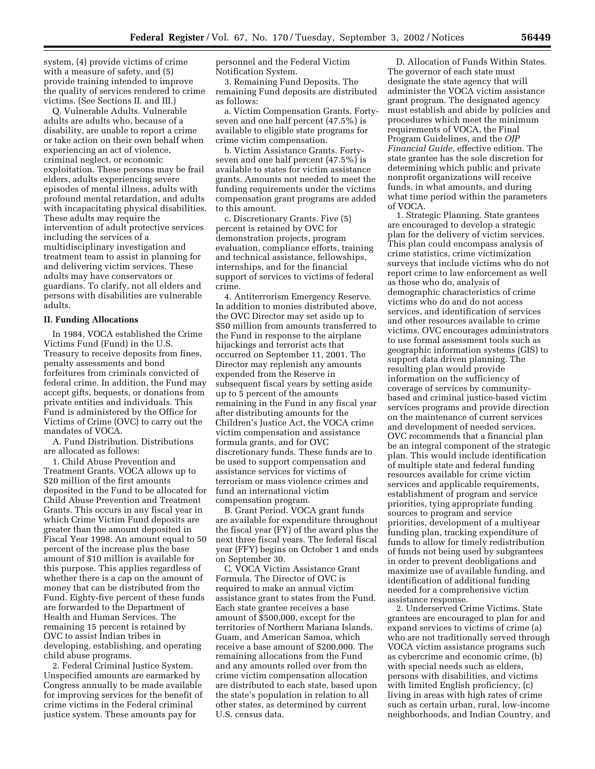system, (4) provide victims of crime with a measure of safety, and (5) provide training intended to improve the quality of services rendered to crime victims. (See Sections II. and III.)

Q. Vulnerable Adults. Vulnerable adults are adults who, because of a disability, are unable to report a crime or take action on their own behalf when experiencing an act of violence, criminal neglect, or economic exploitation. These persons may be frail elders, adults experiencing severe episodes of mental illness, adults with profound mental retardation, and adults with incapacitating physical disabilities. These adults may require the intervention of adult protective services including the services of a multidisciplinary investigation and treatment team to assist in planning for and delivering victim services. These adults may have conservators or guardians. To clarify, not all elders and persons with disabilities are vulnerable adults.

#### **II. Funding Allocations**

In 1984, VOCA established the Crime Victims Fund (Fund) in the U.S. Treasury to receive deposits from fines, penalty assessments and bond forfeitures from criminals convicted of federal crime. In addition, the Fund may accept gifts, bequests, or donations from private entities and individuals. This Fund is administered by the Office for Victims of Crime (OVC) to carry out the mandates of VOCA.

A. Fund Distribution. Distributions are allocated as follows:

1. Child Abuse Prevention and Treatment Grants. VOCA allows up to \$20 million of the first amounts deposited in the Fund to be allocated for Child Abuse Prevention and Treatment Grants. This occurs in any fiscal year in which Crime Victim Fund deposits are greater than the amount deposited in Fiscal Year 1998. An amount equal to 50 percent of the increase plus the base amount of \$10 million is available for this purpose. This applies regardless of whether there is a cap on the amount of money that can be distributed from the Fund. Eighty-five percent of these funds are forwarded to the Department of Health and Human Services. The remaining 15 percent is retained by OVC to assist Indian tribes in developing, establishing, and operating child abuse programs.

2. Federal Criminal Justice System. Unspecified amounts are earmarked by Congress annually to be made available for improving services for the benefit of crime victims in the Federal criminal justice system. These amounts pay for

personnel and the Federal Victim Notification System.

3. Remaining Fund Deposits. The remaining Fund deposits are distributed as follows:

a. Victim Compensation Grants. Fortyseven and one half percent (47.5%) is available to eligible state programs for crime victim compensation.

b. Victim Assistance Grants. Fortyseven and one half percent (47.5%) is available to states for victim assistance grants. Amounts not needed to meet the funding requirements under the victims compensation grant programs are added to this amount.

c. Discretionary Grants. Five (5) percent is retained by OVC for demonstration projects, program evaluation, compliance efforts, training and technical assistance, fellowships, internships, and for the financial support of services to victims of federal crime.

4. Antiterrorism Emergency Reserve. In addition to monies distributed above, the OVC Director may set aside up to \$50 million from amounts transferred to the Fund in response to the airplane hijackings and terrorist acts that occurred on September 11, 2001. The Director may replenish any amounts expended from the Reserve in subsequent fiscal years by setting aside up to 5 percent of the amounts remaining in the Fund in any fiscal year after distributing amounts for the Children's Justice Act, the VOCA crime victim compensation and assistance formula grants, and for OVC discretionary funds. These funds are to be used to support compensation and assistance services for victims of terrorism or mass violence crimes and fund an international victim compensation program.

B. Grant Period. VOCA grant funds are available for expenditure throughout the fiscal year (FY) of the award plus the next three fiscal years. The federal fiscal year (FFY) begins on October 1 and ends on September 30.

C. VOCA Victim Assistance Grant Formula. The Director of OVC is required to make an annual victim assistance grant to states from the Fund. Each state grantee receives a base amount of \$500,000, except for the territories of Northern Mariana Islands, Guam, and American Samoa, which receive a base amount of \$200,000. The remaining allocations from the Fund and any amounts rolled over from the crime victim compensation allocation are distributed to each state, based upon the state's population in relation to all other states, as determined by current U.S. census data.

D. Allocation of Funds Within States. The governor of each state must designate the state agency that will administer the VOCA victim assistance grant program. The designated agency must establish and abide by policies and procedures which meet the minimum requirements of VOCA, the Final Program Guidelines, and the *OJP Financial Guide*, effective edition. The state grantee has the sole discretion for determining which public and private nonprofit organizations will receive funds, in what amounts, and during what time period within the parameters of VOCA.

1. Strategic Planning. State grantees are encouraged to develop a strategic plan for the delivery of victim services. This plan could encompass analysis of crime statistics, crime victimization surveys that include victims who do not report crime to law enforcement as well as those who do, analysis of demographic characteristics of crime victims who do and do not access services, and identification of services and other resources available to crime victims. OVC encourages administrators to use formal assessment tools such as geographic information systems (GIS) to support data driven planning. The resulting plan would provide information on the sufficiency of coverage of services by communitybased and criminal justice-based victim services programs and provide direction on the maintenance of current services and development of needed services. OVC recommends that a financial plan be an integral component of the strategic plan. This would include identification of multiple state and federal funding resources available for crime victim services and applicable requirements, establishment of program and service priorities, tying appropriate funding sources to program and service priorities, development of a multiyear funding plan, tracking expenditure of funds to allow for timely redistribution of funds not being used by subgrantees in order to prevent deobligations and maximize use of available funding, and identification of additional funding needed for a comprehensive victim assistance response.

2. Underserved Crime Victims. State grantees are encouraged to plan for and expand services to victims of crime (a) who are not traditionally served through VOCA victim assistance programs such as cybercrime and economic crime, (b) with special needs such as elders, persons with disabilities, and victims with limited English proficiency, (c) living in areas with high rates of crime such as certain urban, rural, low-income neighborhoods, and Indian Country, and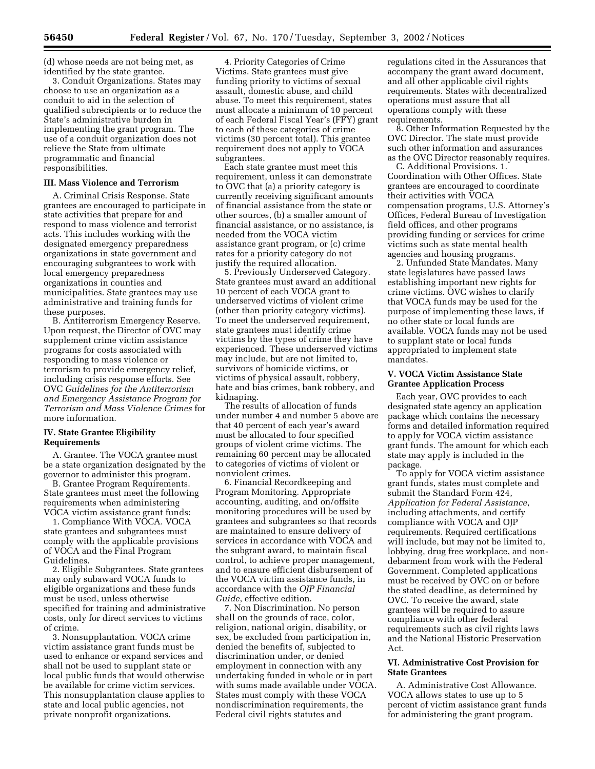(d) whose needs are not being met, as identified by the state grantee.

3. Conduit Organizations. States may choose to use an organization as a conduit to aid in the selection of qualified subrecipients or to reduce the State's administrative burden in implementing the grant program. The use of a conduit organization does not relieve the State from ultimate programmatic and financial responsibilities.

#### **III. Mass Violence and Terrorism**

A. Criminal Crisis Response. State grantees are encouraged to participate in state activities that prepare for and respond to mass violence and terrorist acts. This includes working with the designated emergency preparedness organizations in state government and encouraging subgrantees to work with local emergency preparedness organizations in counties and municipalities. State grantees may use administrative and training funds for these purposes.

B. Antiterrorism Emergency Reserve. Upon request, the Director of OVC may supplement crime victim assistance programs for costs associated with responding to mass violence or terrorism to provide emergency relief, including crisis response efforts. See OVC *Guidelines for the Antiterrorism and Emergency Assistance Program for Terrorism and Mass Violence Crimes* for more information.

#### **IV. State Grantee Eligibility Requirements**

A. Grantee. The VOCA grantee must be a state organization designated by the governor to administer this program.

B. Grantee Program Requirements. State grantees must meet the following requirements when administering VOCA victim assistance grant funds:

1. Compliance With VOCA. VOCA state grantees and subgrantees must comply with the applicable provisions of VOCA and the Final Program Guidelines.

2. Eligible Subgrantees. State grantees may only subaward VOCA funds to eligible organizations and these funds must be used, unless otherwise specified for training and administrative costs, only for direct services to victims of crime.

3. Nonsupplantation. VOCA crime victim assistance grant funds must be used to enhance or expand services and shall not be used to supplant state or local public funds that would otherwise be available for crime victim services. This nonsupplantation clause applies to state and local public agencies, not private nonprofit organizations.

4. Priority Categories of Crime Victims. State grantees must give funding priority to victims of sexual assault, domestic abuse, and child abuse. To meet this requirement, states must allocate a minimum of 10 percent of each Federal Fiscal Year's (FFY) grant to each of these categories of crime victims (30 percent total). This grantee requirement does not apply to VOCA subgrantees.

Each state grantee must meet this requirement, unless it can demonstrate to OVC that (a) a priority category is currently receiving significant amounts of financial assistance from the state or other sources, (b) a smaller amount of financial assistance, or no assistance, is needed from the VOCA victim assistance grant program, or (c) crime rates for a priority category do not justify the required allocation.

5. Previously Underserved Category. State grantees must award an additional 10 percent of each VOCA grant to underserved victims of violent crime (other than priority category victims). To meet the underserved requirement, state grantees must identify crime victims by the types of crime they have experienced. These underserved victims may include, but are not limited to, survivors of homicide victims, or victims of physical assault, robbery, hate and bias crimes, bank robbery, and kidnaping.

The results of allocation of funds under number 4 and number 5 above are that 40 percent of each year's award must be allocated to four specified groups of violent crime victims. The remaining 60 percent may be allocated to categories of victims of violent or nonviolent crimes.

6. Financial Recordkeeping and Program Monitoring. Appropriate accounting, auditing, and on/offsite monitoring procedures will be used by grantees and subgrantees so that records are maintained to ensure delivery of services in accordance with VOCA and the subgrant award, to maintain fiscal control, to achieve proper management, and to ensure efficient disbursement of the VOCA victim assistance funds, in accordance with the *OJP Financial Guide*, effective edition.

7. Non Discrimination. No person shall on the grounds of race, color, religion, national origin, disability, or sex, be excluded from participation in, denied the benefits of, subjected to discrimination under, or denied employment in connection with any undertaking funded in whole or in part with sums made available under VOCA. States must comply with these VOCA nondiscrimination requirements, the Federal civil rights statutes and

regulations cited in the Assurances that accompany the grant award document, and all other applicable civil rights requirements. States with decentralized operations must assure that all operations comply with these requirements.

8. Other Information Requested by the OVC Director. The state must provide such other information and assurances as the OVC Director reasonably requires.

C. Additional Provisions. 1. Coordination with Other Offices. State grantees are encouraged to coordinate their activities with VOCA compensation programs, U.S. Attorney's Offices, Federal Bureau of Investigation field offices, and other programs providing funding or services for crime victims such as state mental health agencies and housing programs.

2. Unfunded State Mandates. Many state legislatures have passed laws establishing important new rights for crime victims. OVC wishes to clarify that VOCA funds may be used for the purpose of implementing these laws, if no other state or local funds are available. VOCA funds may not be used to supplant state or local funds appropriated to implement state mandates.

#### **V. VOCA Victim Assistance State Grantee Application Process**

Each year, OVC provides to each designated state agency an application package which contains the necessary forms and detailed information required to apply for VOCA victim assistance grant funds. The amount for which each state may apply is included in the package.

To apply for VOCA victim assistance grant funds, states must complete and submit the Standard Form 424, *Application for Federal Assistance*, including attachments, and certify compliance with VOCA and OJP requirements. Required certifications will include, but may not be limited to, lobbying, drug free workplace, and nondebarment from work with the Federal Government. Completed applications must be received by OVC on or before the stated deadline, as determined by OVC. To receive the award, state grantees will be required to assure compliance with other federal requirements such as civil rights laws and the National Historic Preservation Act.

# **VI. Administrative Cost Provision for State Grantees**

A. Administrative Cost Allowance. VOCA allows states to use up to 5 percent of victim assistance grant funds for administering the grant program.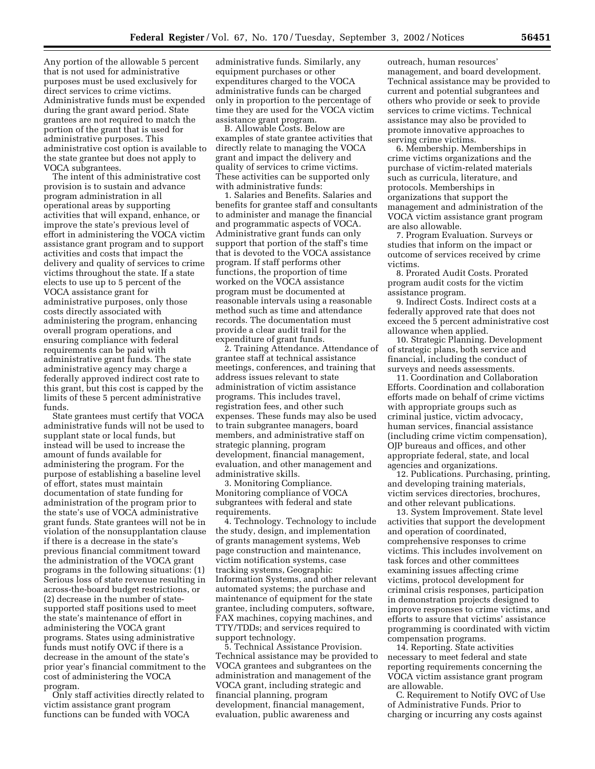Any portion of the allowable 5 percent that is not used for administrative purposes must be used exclusively for direct services to crime victims. Administrative funds must be expended during the grant award period. State grantees are not required to match the portion of the grant that is used for administrative purposes. This administrative cost option is available to the state grantee but does not apply to VOCA subgrantees.

The intent of this administrative cost provision is to sustain and advance program administration in all operational areas by supporting activities that will expand, enhance, or improve the state's previous level of effort in administering the VOCA victim assistance grant program and to support activities and costs that impact the delivery and quality of services to crime victims throughout the state. If a state elects to use up to 5 percent of the VOCA assistance grant for administrative purposes, only those costs directly associated with administering the program, enhancing overall program operations, and ensuring compliance with federal requirements can be paid with administrative grant funds. The state administrative agency may charge a federally approved indirect cost rate to this grant, but this cost is capped by the limits of these 5 percent administrative funds.

State grantees must certify that VOCA administrative funds will not be used to supplant state or local funds, but instead will be used to increase the amount of funds available for administering the program. For the purpose of establishing a baseline level of effort, states must maintain documentation of state funding for administration of the program prior to the state's use of VOCA administrative grant funds. State grantees will not be in violation of the nonsupplantation clause if there is a decrease in the state's previous financial commitment toward the administration of the VOCA grant programs in the following situations: (1) Serious loss of state revenue resulting in across-the-board budget restrictions, or (2) decrease in the number of statesupported staff positions used to meet the state's maintenance of effort in administering the VOCA grant programs. States using administrative funds must notify OVC if there is a decrease in the amount of the state's prior year's financial commitment to the cost of administering the VOCA program.

Only staff activities directly related to victim assistance grant program functions can be funded with VOCA

administrative funds. Similarly, any equipment purchases or other expenditures charged to the VOCA administrative funds can be charged only in proportion to the percentage of time they are used for the VOCA victim assistance grant program.

B. Allowable Costs. Below are examples of state grantee activities that directly relate to managing the VOCA grant and impact the delivery and quality of services to crime victims. These activities can be supported only with administrative funds:

1. Salaries and Benefits. Salaries and benefits for grantee staff and consultants to administer and manage the financial and programmatic aspects of VOCA. Administrative grant funds can only support that portion of the staff's time that is devoted to the VOCA assistance program. If staff performs other functions, the proportion of time worked on the VOCA assistance program must be documented at reasonable intervals using a reasonable method such as time and attendance records. The documentation must provide a clear audit trail for the expenditure of grant funds.

2. Training Attendance. Attendance of grantee staff at technical assistance meetings, conferences, and training that address issues relevant to state administration of victim assistance programs. This includes travel, registration fees, and other such expenses. These funds may also be used to train subgrantee managers, board members, and administrative staff on strategic planning, program development, financial management, evaluation, and other management and administrative skills.

3. Monitoring Compliance. Monitoring compliance of VOCA subgrantees with federal and state requirements.

4. Technology. Technology to include the study, design, and implementation of grants management systems, Web page construction and maintenance, victim notification systems, case tracking systems, Geographic Information Systems, and other relevant automated systems; the purchase and maintenance of equipment for the state grantee, including computers, software, FAX machines, copying machines, and TTY/TDDs; and services required to support technology.

5. Technical Assistance Provision. Technical assistance may be provided to VOCA grantees and subgrantees on the administration and management of the VOCA grant, including strategic and financial planning, program development, financial management, evaluation, public awareness and

outreach, human resources' management, and board development. Technical assistance may be provided to current and potential subgrantees and others who provide or seek to provide services to crime victims. Technical assistance may also be provided to promote innovative approaches to serving crime victims.

6. Membership. Memberships in crime victims organizations and the purchase of victim-related materials such as curricula, literature, and protocols. Memberships in organizations that support the management and administration of the VOCA victim assistance grant program are also allowable.

7. Program Evaluation. Surveys or studies that inform on the impact or outcome of services received by crime victims.

8. Prorated Audit Costs. Prorated program audit costs for the victim assistance program.

9. Indirect Costs. Indirect costs at a federally approved rate that does not exceed the 5 percent administrative cost allowance when applied.

10. Strategic Planning. Development of strategic plans, both service and financial, including the conduct of surveys and needs assessments.

11. Coordination and Collaboration Efforts. Coordination and collaboration efforts made on behalf of crime victims with appropriate groups such as criminal justice, victim advocacy, human services, financial assistance (including crime victim compensation), OJP bureaus and offices, and other appropriate federal, state, and local agencies and organizations.

12. Publications. Purchasing, printing, and developing training materials, victim services directories, brochures, and other relevant publications.

13. System Improvement. State level activities that support the development and operation of coordinated, comprehensive responses to crime victims. This includes involvement on task forces and other committees examining issues affecting crime victims, protocol development for criminal crisis responses, participation in demonstration projects designed to improve responses to crime victims, and efforts to assure that victims' assistance programming is coordinated with victim compensation programs.

14. Reporting. State activities necessary to meet federal and state reporting requirements concerning the VOCA victim assistance grant program are allowable.

C. Requirement to Notify OVC of Use of Administrative Funds. Prior to charging or incurring any costs against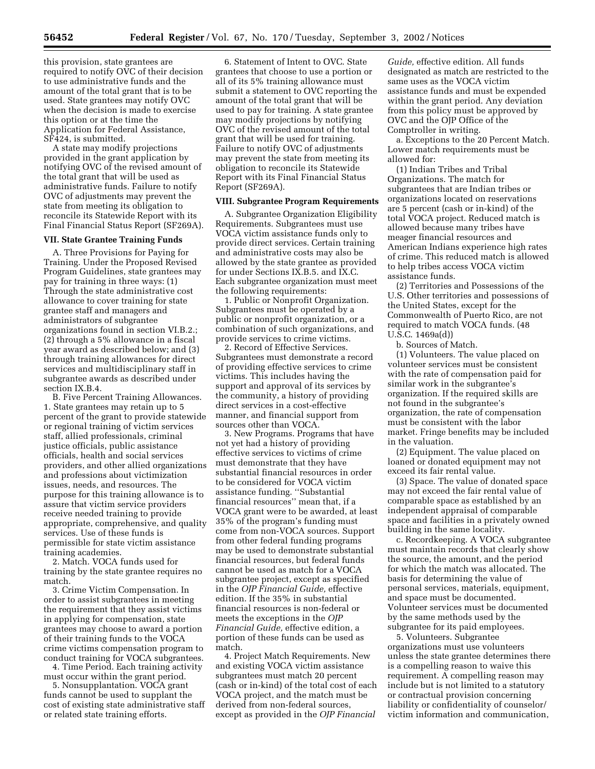this provision, state grantees are required to notify OVC of their decision to use administrative funds and the amount of the total grant that is to be used. State grantees may notify OVC when the decision is made to exercise this option or at the time the Application for Federal Assistance, SF424, is submitted.

A state may modify projections provided in the grant application by notifying OVC of the revised amount of the total grant that will be used as administrative funds. Failure to notify OVC of adjustments may prevent the state from meeting its obligation to reconcile its Statewide Report with its Final Financial Status Report (SF269A).

#### **VII. State Grantee Training Funds**

A. Three Provisions for Paying for Training. Under the Proposed Revised Program Guidelines, state grantees may pay for training in three ways: (1) Through the state administrative cost allowance to cover training for state grantee staff and managers and administrators of subgrantee organizations found in section VI.B.2.; (2) through a 5% allowance in a fiscal year award as described below; and (3) through training allowances for direct services and multidisciplinary staff in subgrantee awards as described under section IX.B.4.

B. Five Percent Training Allowances. 1. State grantees may retain up to 5 percent of the grant to provide statewide or regional training of victim services staff, allied professionals, criminal justice officials, public assistance officials, health and social services providers, and other allied organizations and professions about victimization issues, needs, and resources. The purpose for this training allowance is to assure that victim service providers receive needed training to provide appropriate, comprehensive, and quality services. Use of these funds is permissible for state victim assistance training academies.

2. Match. VOCA funds used for training by the state grantee requires no match.

3. Crime Victim Compensation. In order to assist subgrantees in meeting the requirement that they assist victims in applying for compensation, state grantees may choose to award a portion of their training funds to the VOCA crime victims compensation program to conduct training for VOCA subgrantees.

4. Time Period. Each training activity must occur within the grant period.

5. Nonsupplantation. VOCA grant funds cannot be used to supplant the cost of existing state administrative staff or related state training efforts.

6. Statement of Intent to OVC. State grantees that choose to use a portion or all of its 5% training allowance must submit a statement to OVC reporting the amount of the total grant that will be used to pay for training. A state grantee may modify projections by notifying OVC of the revised amount of the total grant that will be used for training. Failure to notify OVC of adjustments may prevent the state from meeting its obligation to reconcile its Statewide Report with its Final Financial Status Report (SF269A).

#### **VIII. Subgrantee Program Requirements**

A. Subgrantee Organization Eligibility Requirements. Subgrantees must use VOCA victim assistance funds only to provide direct services. Certain training and administrative costs may also be allowed by the state grantee as provided for under Sections IX.B.5. and IX.C. Each subgrantee organization must meet the following requirements:

1. Public or Nonprofit Organization. Subgrantees must be operated by a public or nonprofit organization, or a combination of such organizations, and provide services to crime victims.

2. Record of Effective Services. Subgrantees must demonstrate a record of providing effective services to crime victims. This includes having the support and approval of its services by the community, a history of providing direct services in a cost-effective manner, and financial support from sources other than VOCA.

3. New Programs. Programs that have not yet had a history of providing effective services to victims of crime must demonstrate that they have substantial financial resources in order to be considered for VOCA victim assistance funding. ''Substantial financial resources'' mean that, if a VOCA grant were to be awarded, at least 35% of the program's funding must come from non-VOCA sources. Support from other federal funding programs may be used to demonstrate substantial financial resources, but federal funds cannot be used as match for a VOCA subgrantee project, except as specified in the *OJP Financial Guide,* effective edition. If the 35% in substantial financial resources is non-federal or meets the exceptions in the *OJP Financial Guide,* effective edition, a portion of these funds can be used as match.

4. Project Match Requirements. New and existing VOCA victim assistance subgrantees must match 20 percent (cash or in-kind) of the total cost of each VOCA project, and the match must be derived from non-federal sources, except as provided in the *OJP Financial* 

*Guide,* effective edition. All funds designated as match are restricted to the same uses as the VOCA victim assistance funds and must be expended within the grant period. Any deviation from this policy must be approved by OVC and the OJP Office of the Comptroller in writing.

a. Exceptions to the 20 Percent Match. Lower match requirements must be allowed for:

(1) Indian Tribes and Tribal Organizations. The match for subgrantees that are Indian tribes or organizations located on reservations are 5 percent (cash or in-kind) of the total VOCA project. Reduced match is allowed because many tribes have meager financial resources and American Indians experience high rates of crime. This reduced match is allowed to help tribes access VOCA victim assistance funds.

(2) Territories and Possessions of the U.S. Other territories and possessions of the United States, except for the Commonwealth of Puerto Rico, are not required to match VOCA funds. (48 U.S.C. 1469a(d))

b. Sources of Match.

(1) Volunteers. The value placed on volunteer services must be consistent with the rate of compensation paid for similar work in the subgrantee's organization. If the required skills are not found in the subgrantee's organization, the rate of compensation must be consistent with the labor market. Fringe benefits may be included in the valuation.

(2) Equipment. The value placed on loaned or donated equipment may not exceed its fair rental value.

(3) Space. The value of donated space may not exceed the fair rental value of comparable space as established by an independent appraisal of comparable space and facilities in a privately owned building in the same locality.

c. Recordkeeping. A VOCA subgrantee must maintain records that clearly show the source, the amount, and the period for which the match was allocated. The basis for determining the value of personal services, materials, equipment, and space must be documented. Volunteer services must be documented by the same methods used by the subgrantee for its paid employees.

5. Volunteers. Subgrantee organizations must use volunteers unless the state grantee determines there is a compelling reason to waive this requirement. A compelling reason may include but is not limited to a statutory or contractual provision concerning liability or confidentiality of counselor/ victim information and communication,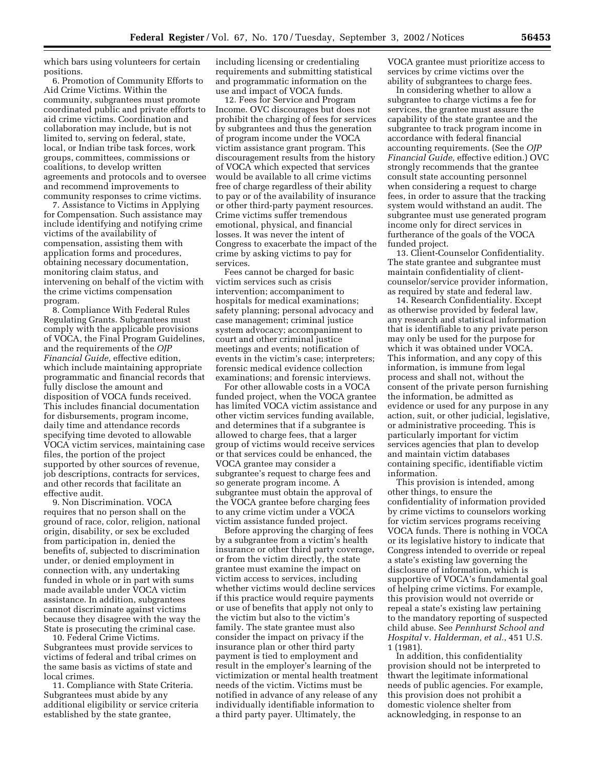which bars using volunteers for certain positions.

6. Promotion of Community Efforts to Aid Crime Victims. Within the community, subgrantees must promote coordinated public and private efforts to aid crime victims. Coordination and collaboration may include, but is not limited to, serving on federal, state, local, or Indian tribe task forces, work groups, committees, commissions or coalitions, to develop written agreements and protocols and to oversee and recommend improvements to community responses to crime victims.

7. Assistance to Victims in Applying for Compensation. Such assistance may include identifying and notifying crime victims of the availability of compensation, assisting them with application forms and procedures, obtaining necessary documentation, monitoring claim status, and intervening on behalf of the victim with the crime victims compensation program.

8. Compliance With Federal Rules Regulating Grants. Subgrantees must comply with the applicable provisions of VOCA, the Final Program Guidelines, and the requirements of the *OJP Financial Guide,* effective edition, which include maintaining appropriate programmatic and financial records that fully disclose the amount and disposition of VOCA funds received. This includes financial documentation for disbursements, program income, daily time and attendance records specifying time devoted to allowable VOCA victim services, maintaining case files, the portion of the project supported by other sources of revenue, job descriptions, contracts for services, and other records that facilitate an effective audit.

9. Non Discrimination. VOCA requires that no person shall on the ground of race, color, religion, national origin, disability, or sex be excluded from participation in, denied the benefits of, subjected to discrimination under, or denied employment in connection with, any undertaking funded in whole or in part with sums made available under VOCA victim assistance. In addition, subgrantees cannot discriminate against victims because they disagree with the way the State is prosecuting the criminal case.

10. Federal Crime Victims. Subgrantees must provide services to victims of federal and tribal crimes on the same basis as victims of state and local crimes.

11. Compliance with State Criteria. Subgrantees must abide by any additional eligibility or service criteria established by the state grantee,

including licensing or credentialing requirements and submitting statistical and programmatic information on the use and impact of VOCA funds.

12. Fees for Service and Program Income. OVC discourages but does not prohibit the charging of fees for services by subgrantees and thus the generation of program income under the VOCA victim assistance grant program. This discouragement results from the history of VOCA which expected that services would be available to all crime victims free of charge regardless of their ability to pay or of the availability of insurance or other third-party payment resources. Crime victims suffer tremendous emotional, physical, and financial losses. It was never the intent of Congress to exacerbate the impact of the crime by asking victims to pay for services.

Fees cannot be charged for basic victim services such as crisis intervention; accompaniment to hospitals for medical examinations; safety planning; personal advocacy and case management; criminal justice system advocacy; accompaniment to court and other criminal justice meetings and events; notification of events in the victim's case; interpreters; forensic medical evidence collection examinations; and forensic interviews.

For other allowable costs in a VOCA funded project, when the VOCA grantee has limited VOCA victim assistance and other victim services funding available, and determines that if a subgrantee is allowed to charge fees, that a larger group of victims would receive services or that services could be enhanced, the VOCA grantee may consider a subgrantee's request to charge fees and so generate program income. A subgrantee must obtain the approval of the VOCA grantee before charging fees to any crime victim under a VOCA victim assistance funded project.

Before approving the charging of fees by a subgrantee from a victim's health insurance or other third party coverage, or from the victim directly, the state grantee must examine the impact on victim access to services, including whether victims would decline services if this practice would require payments or use of benefits that apply not only to the victim but also to the victim's family. The state grantee must also consider the impact on privacy if the insurance plan or other third party payment is tied to employment and result in the employer's learning of the victimization or mental health treatment needs of the victim. Victims must be notified in advance of any release of any individually identifiable information to a third party payer. Ultimately, the

VOCA grantee must prioritize access to services by crime victims over the ability of subgrantees to charge fees.

In considering whether to allow a subgrantee to charge victims a fee for services, the grantee must assure the capability of the state grantee and the subgrantee to track program income in accordance with federal financial accounting requirements. (See the *OJP Financial Guide,* effective edition.) OVC strongly recommends that the grantee consult state accounting personnel when considering a request to charge fees, in order to assure that the tracking system would withstand an audit. The subgrantee must use generated program income only for direct services in furtherance of the goals of the VOCA funded project.

13. Client-Counselor Confidentiality. The state grantee and subgrantee must maintain confidentiality of clientcounselor/service provider information, as required by state and federal law.

14. Research Confidentiality. Except as otherwise provided by federal law, any research and statistical information that is identifiable to any private person may only be used for the purpose for which it was obtained under VOCA. This information, and any copy of this information, is immune from legal process and shall not, without the consent of the private person furnishing the information, be admitted as evidence or used for any purpose in any action, suit, or other judicial, legislative, or administrative proceeding. This is particularly important for victim services agencies that plan to develop and maintain victim databases containing specific, identifiable victim information.

This provision is intended, among other things, to ensure the confidentiality of information provided by crime victims to counselors working for victim services programs receiving VOCA funds. There is nothing in VOCA or its legislative history to indicate that Congress intended to override or repeal a state's existing law governing the disclosure of information, which is supportive of VOCA's fundamental goal of helping crime victims. For example, this provision would not override or repeal a state's existing law pertaining to the mandatory reporting of suspected child abuse. See *Pennhurst School and Hospital* v. *Halderman, et al.*, 451 U.S. 1 (1981).

In addition, this confidentiality provision should not be interpreted to thwart the legitimate informational needs of public agencies. For example, this provision does not prohibit a domestic violence shelter from acknowledging, in response to an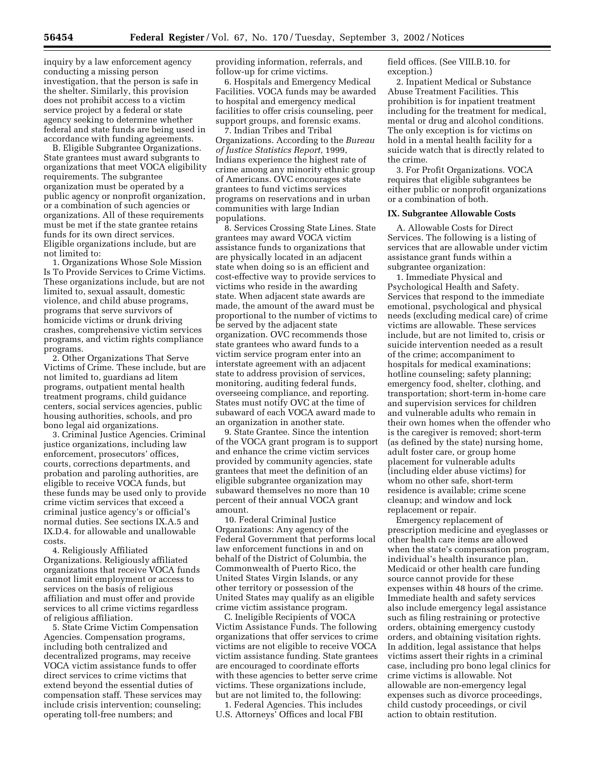inquiry by a law enforcement agency conducting a missing person investigation, that the person is safe in the shelter. Similarly, this provision does not prohibit access to a victim service project by a federal or state agency seeking to determine whether federal and state funds are being used in accordance with funding agreements.

B. Eligible Subgrantee Organizations. State grantees must award subgrants to organizations that meet VOCA eligibility requirements. The subgrantee organization must be operated by a public agency or nonprofit organization, or a combination of such agencies or organizations. All of these requirements must be met if the state grantee retains funds for its own direct services. Eligible organizations include, but are not limited to:

1. Organizations Whose Sole Mission Is To Provide Services to Crime Victims. These organizations include, but are not limited to, sexual assault, domestic violence, and child abuse programs, programs that serve survivors of homicide victims or drunk driving crashes, comprehensive victim services programs, and victim rights compliance programs.

2. Other Organizations That Serve Victims of Crime. These include, but are not limited to, guardians ad litem programs, outpatient mental health treatment programs, child guidance centers, social services agencies, public housing authorities, schools, and pro bono legal aid organizations.

3. Criminal Justice Agencies. Criminal justice organizations, including law enforcement, prosecutors' offices, courts, corrections departments, and probation and paroling authorities, are eligible to receive VOCA funds, but these funds may be used only to provide crime victim services that exceed a criminal justice agency's or official's normal duties. See sections IX.A.5 and IX.D.4. for allowable and unallowable costs.

4. Religiously Affiliated Organizations. Religiously affiliated organizations that receive VOCA funds cannot limit employment or access to services on the basis of religious affiliation and must offer and provide services to all crime victims regardless of religious affiliation.

5. State Crime Victim Compensation Agencies. Compensation programs, including both centralized and decentralized programs, may receive VOCA victim assistance funds to offer direct services to crime victims that extend beyond the essential duties of compensation staff. These services may include crisis intervention; counseling; operating toll-free numbers; and

providing information, referrals, and follow-up for crime victims.

6. Hospitals and Emergency Medical Facilities. VOCA funds may be awarded to hospital and emergency medical facilities to offer crisis counseling, peer support groups, and forensic exams.

7. Indian Tribes and Tribal Organizations. According to the *Bureau of Justice Statistics Report,* 1999, Indians experience the highest rate of crime among any minority ethnic group of Americans. OVC encourages state grantees to fund victims services programs on reservations and in urban communities with large Indian populations.

8. Services Crossing State Lines. State grantees may award VOCA victim assistance funds to organizations that are physically located in an adjacent state when doing so is an efficient and cost-effective way to provide services to victims who reside in the awarding state. When adjacent state awards are made, the amount of the award must be proportional to the number of victims to be served by the adjacent state organization. OVC recommends those state grantees who award funds to a victim service program enter into an interstate agreement with an adjacent state to address provision of services, monitoring, auditing federal funds, overseeing compliance, and reporting. States must notify OVC at the time of subaward of each VOCA award made to an organization in another state.

9. State Grantee. Since the intention of the VOCA grant program is to support and enhance the crime victim services provided by community agencies, state grantees that meet the definition of an eligible subgrantee organization may subaward themselves no more than 10 percent of their annual VOCA grant amount.

10. Federal Criminal Justice Organizations: Any agency of the Federal Government that performs local law enforcement functions in and on behalf of the District of Columbia, the Commonwealth of Puerto Rico, the United States Virgin Islands, or any other territory or possession of the United States may qualify as an eligible crime victim assistance program.

C. Ineligible Recipients of VOCA Victim Assistance Funds. The following organizations that offer services to crime victims are not eligible to receive VOCA victim assistance funding. State grantees are encouraged to coordinate efforts with these agencies to better serve crime victims. These organizations include, but are not limited to, the following:

1. Federal Agencies. This includes U.S. Attorneys' Offices and local FBI field offices. (See VIII.B.10. for exception.)

2. Inpatient Medical or Substance Abuse Treatment Facilities. This prohibition is for inpatient treatment including for the treatment for medical, mental or drug and alcohol conditions. The only exception is for victims on hold in a mental health facility for a suicide watch that is directly related to the crime.

3. For Profit Organizations. VOCA requires that eligible subgrantees be either public or nonprofit organizations or a combination of both.

#### **IX. Subgrantee Allowable Costs**

A. Allowable Costs for Direct Services. The following is a listing of services that are allowable under victim assistance grant funds within a subgrantee organization:

1. Immediate Physical and Psychological Health and Safety. Services that respond to the immediate emotional, psychological and physical needs (excluding medical care) of crime victims are allowable. These services include, but are not limited to, crisis or suicide intervention needed as a result of the crime; accompaniment to hospitals for medical examinations; hotline counseling; safety planning; emergency food, shelter, clothing, and transportation; short-term in-home care and supervision services for children and vulnerable adults who remain in their own homes when the offender who is the caregiver is removed; short-term (as defined by the state) nursing home, adult foster care, or group home placement for vulnerable adults (including elder abuse victims) for whom no other safe, short-term residence is available; crime scene cleanup; and window and lock replacement or repair.

Emergency replacement of prescription medicine and eyeglasses or other health care items are allowed when the state's compensation program, individual's health insurance plan, Medicaid or other health care funding source cannot provide for these expenses within 48 hours of the crime. Immediate health and safety services also include emergency legal assistance such as filing restraining or protective orders, obtaining emergency custody orders, and obtaining visitation rights. In addition, legal assistance that helps victims assert their rights in a criminal case, including pro bono legal clinics for crime victims is allowable. Not allowable are non-emergency legal expenses such as divorce proceedings, child custody proceedings, or civil action to obtain restitution.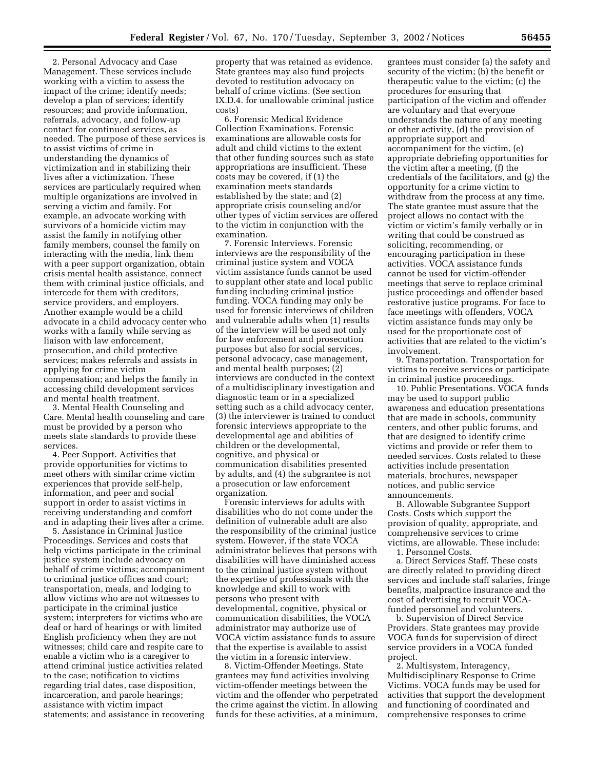2. Personal Advocacy and Case Management. These services include working with a victim to assess the impact of the crime; identify needs; develop a plan of services; identify resources; and provide information, referrals, advocacy, and follow-up contact for continued services, as needed. The purpose of these services is to assist victims of crime in understanding the dynamics of victimization and in stabilizing their lives after a victimization. These services are particularly required when multiple organizations are involved in serving a victim and family. For example, an advocate working with survivors of a homicide victim may assist the family in notifying other family members, counsel the family on interacting with the media, link them with a peer support organization, obtain crisis mental health assistance, connect them with criminal justice officials, and intercede for them with creditors, service providers, and employers. Another example would be a child advocate in a child advocacy center who works with a family while serving as liaison with law enforcement, prosecution, and child protective services; makes referrals and assists in applying for crime victim compensation; and helps the family in accessing child development services and mental health treatment.

3. Mental Health Counseling and Care. Mental health counseling and care must be provided by a person who meets state standards to provide these services.

4. Peer Support. Activities that provide opportunities for victims to meet others with similar crime victim experiences that provide self-help, information, and peer and social support in order to assist victims in receiving understanding and comfort and in adapting their lives after a crime.

5. Assistance in Criminal Justice Proceedings. Services and costs that help victims participate in the criminal justice system include advocacy on behalf of crime victims; accompaniment to criminal justice offices and court; transportation, meals, and lodging to allow victims who are not witnesses to participate in the criminal justice system; interpreters for victims who are deaf or hard of hearings or with limited English proficiency when they are not witnesses; child care and respite care to enable a victim who is a caregiver to attend criminal justice activities related to the case; notification to victims regarding trial dates, case disposition, incarceration, and parole hearings; assistance with victim impact statements; and assistance in recovering

property that was retained as evidence. State grantees may also fund projects devoted to restitution advocacy on behalf of crime victims. (See section IX.D.4. for unallowable criminal justice costs)

6. Forensic Medical Evidence Collection Examinations. Forensic examinations are allowable costs for adult and child victims to the extent that other funding sources such as state appropriations are insufficient. These costs may be covered, if (1) the examination meets standards established by the state; and (2) appropriate crisis counseling and/or other types of victim services are offered to the victim in conjunction with the examination.

7. Forensic Interviews. Forensic interviews are the responsibility of the criminal justice system and VOCA victim assistance funds cannot be used to supplant other state and local public funding including criminal justice funding. VOCA funding may only be used for forensic interviews of children and vulnerable adults when (1) results of the interview will be used not only for law enforcement and prosecution purposes but also for social services, personal advocacy, case management, and mental health purposes; (2) interviews are conducted in the context of a multidisciplinary investigation and diagnostic team or in a specialized setting such as a child advocacy center, (3) the interviewer is trained to conduct forensic interviews appropriate to the developmental age and abilities of children or the developmental, cognitive, and physical or communication disabilities presented by adults, and (4) the subgrantee is not a prosecution or law enforcement organization.

Forensic interviews for adults with disabilities who do not come under the definition of vulnerable adult are also the responsibility of the criminal justice system. However, if the state VOCA administrator believes that persons with disabilities will have diminished access to the criminal justice system without the expertise of professionals with the knowledge and skill to work with persons who present with developmental, cognitive, physical or communication disabilities, the VOCA administrator may authorize use of VOCA victim assistance funds to assure that the expertise is available to assist the victim in a forensic interview.

8. Victim-Offender Meetings. State grantees may fund activities involving victim-offender meetings between the victim and the offender who perpetrated the crime against the victim. In allowing funds for these activities, at a minimum,

grantees must consider (a) the safety and security of the victim; (b) the benefit or therapeutic value to the victim; (c) the procedures for ensuring that participation of the victim and offender are voluntary and that everyone understands the nature of any meeting or other activity, (d) the provision of appropriate support and accompaniment for the victim, (e) appropriate debriefing opportunities for the victim after a meeting, (f) the credentials of the facilitators, and (g) the opportunity for a crime victim to withdraw from the process at any time. The state grantee must assure that the project allows no contact with the victim or victim's family verbally or in writing that could be construed as soliciting, recommending, or encouraging participation in these activities. VOCA assistance funds cannot be used for victim-offender meetings that serve to replace criminal justice proceedings and offender based restorative justice programs. For face to face meetings with offenders, VOCA victim assistance funds may only be used for the proportionate cost of activities that are related to the victim's involvement.

9. Transportation. Transportation for victims to receive services or participate in criminal justice proceedings.

10. Public Presentations. VOCA funds may be used to support public awareness and education presentations that are made in schools, community centers, and other public forums, and that are designed to identify crime victims and provide or refer them to needed services. Costs related to these activities include presentation materials, brochures, newspaper notices, and public service announcements.

B. Allowable Subgrantee Support Costs. Costs which support the provision of quality, appropriate, and comprehensive services to crime victims, are allowable. These include:

1. Personnel Costs. a. Direct Services Staff. These costs are directly related to providing direct services and include staff salaries, fringe benefits, malpractice insurance and the cost of advertising to recruit VOCAfunded personnel and volunteers.

b. Supervision of Direct Service Providers. State grantees may provide VOCA funds for supervision of direct service providers in a VOCA funded project.

2. Multisystem, Interagency, Multidisciplinary Response to Crime Victims. VOCA funds may be used for activities that support the development and functioning of coordinated and comprehensive responses to crime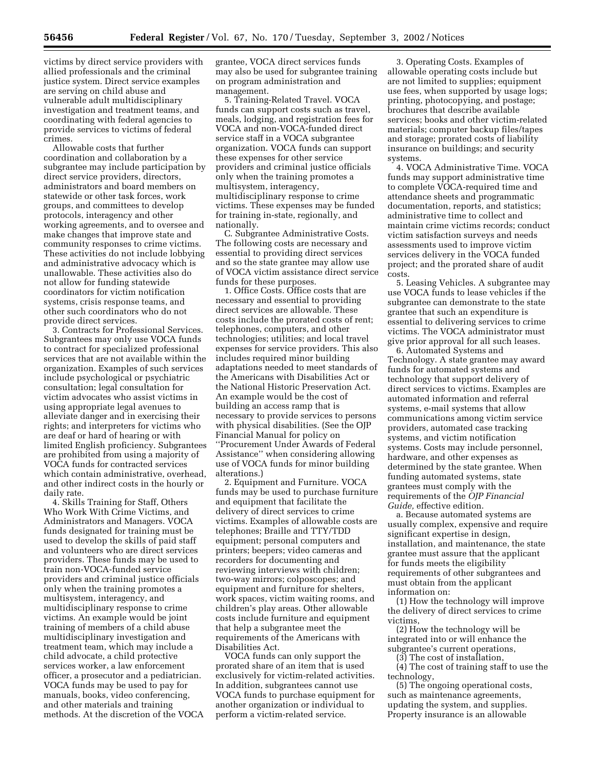victims by direct service providers with allied professionals and the criminal justice system. Direct service examples are serving on child abuse and vulnerable adult multidisciplinary investigation and treatment teams, and coordinating with federal agencies to provide services to victims of federal crimes.

Allowable costs that further coordination and collaboration by a subgrantee may include participation by direct service providers, directors, administrators and board members on statewide or other task forces, work groups, and committees to develop protocols, interagency and other working agreements, and to oversee and make changes that improve state and community responses to crime victims. These activities do not include lobbying and administrative advocacy which is unallowable. These activities also do not allow for funding statewide coordinators for victim notification systems, crisis response teams, and other such coordinators who do not provide direct services.

3. Contracts for Professional Services. Subgrantees may only use VOCA funds to contract for specialized professional services that are not available within the organization. Examples of such services include psychological or psychiatric consultation; legal consultation for victim advocates who assist victims in using appropriate legal avenues to alleviate danger and in exercising their rights; and interpreters for victims who are deaf or hard of hearing or with limited English proficiency. Subgrantees are prohibited from using a majority of VOCA funds for contracted services which contain administrative, overhead, and other indirect costs in the hourly or daily rate.

4. Skills Training for Staff, Others Who Work With Crime Victims, and Administrators and Managers. VOCA funds designated for training must be used to develop the skills of paid staff and volunteers who are direct services providers. These funds may be used to train non-VOCA-funded service providers and criminal justice officials only when the training promotes a multisystem, interagency, and multidisciplinary response to crime victims. An example would be joint training of members of a child abuse multidisciplinary investigation and treatment team, which may include a child advocate, a child protective services worker, a law enforcement officer, a prosecutor and a pediatrician. VOCA funds may be used to pay for manuals, books, video conferencing, and other materials and training methods. At the discretion of the VOCA grantee, VOCA direct services funds may also be used for subgrantee training on program administration and management.

5. Training-Related Travel. VOCA funds can support costs such as travel, meals, lodging, and registration fees for VOCA and non-VOCA-funded direct service staff in a VOCA subgrantee organization. VOCA funds can support these expenses for other service providers and criminal justice officials only when the training promotes a multisystem, interagency, multidisciplinary response to crime victims. These expenses may be funded for training in-state, regionally, and nationally.

C. Subgrantee Administrative Costs. The following costs are necessary and essential to providing direct services and so the state grantee may allow use of VOCA victim assistance direct service funds for these purposes.

1. Office Costs. Office costs that are necessary and essential to providing direct services are allowable. These costs include the prorated costs of rent; telephones, computers, and other technologies; utilities; and local travel expenses for service providers. This also includes required minor building adaptations needed to meet standards of the Americans with Disabilities Act or the National Historic Preservation Act. An example would be the cost of building an access ramp that is necessary to provide services to persons with physical disabilities. (See the OJP Financial Manual for policy on ''Procurement Under Awards of Federal Assistance'' when considering allowing use of VOCA funds for minor building alterations.)

2. Equipment and Furniture. VOCA funds may be used to purchase furniture and equipment that facilitate the delivery of direct services to crime victims. Examples of allowable costs are telephones; Braille and TTY/TDD equipment; personal computers and printers; beepers; video cameras and recorders for documenting and reviewing interviews with children; two-way mirrors; colposcopes; and equipment and furniture for shelters, work spaces, victim waiting rooms, and children's play areas. Other allowable costs include furniture and equipment that help a subgrantee meet the requirements of the Americans with Disabilities Act.

VOCA funds can only support the prorated share of an item that is used exclusively for victim-related activities. In addition, subgrantees cannot use VOCA funds to purchase equipment for another organization or individual to perform a victim-related service.

3. Operating Costs. Examples of allowable operating costs include but are not limited to supplies; equipment use fees, when supported by usage logs; printing, photocopying, and postage; brochures that describe available services; books and other victim-related materials; computer backup files/tapes and storage; prorated costs of liability insurance on buildings; and security systems.

4. VOCA Administrative Time. VOCA funds may support administrative time to complete VOCA-required time and attendance sheets and programmatic documentation, reports, and statistics; administrative time to collect and maintain crime victims records; conduct victim satisfaction surveys and needs assessments used to improve victim services delivery in the VOCA funded project; and the prorated share of audit costs.

5. Leasing Vehicles. A subgrantee may use VOCA funds to lease vehicles if the subgrantee can demonstrate to the state grantee that such an expenditure is essential to delivering services to crime victims. The VOCA administrator must give prior approval for all such leases.

6. Automated Systems and Technology. A state grantee may award funds for automated systems and technology that support delivery of direct services to victims. Examples are automated information and referral systems, e-mail systems that allow communications among victim service providers, automated case tracking systems, and victim notification systems. Costs may include personnel, hardware, and other expenses as determined by the state grantee. When funding automated systems, state grantees must comply with the requirements of the *OJP Financial Guide,* effective edition.

a. Because automated systems are usually complex, expensive and require significant expertise in design, installation, and maintenance, the state grantee must assure that the applicant for funds meets the eligibility requirements of other subgrantees and must obtain from the applicant information on:

(1) How the technology will improve the delivery of direct services to crime victims,

(2) How the technology will be integrated into or will enhance the subgrantee's current operations,

(3) The cost of installation,

(4) The cost of training staff to use the technology,

(5) The ongoing operational costs, such as maintenance agreements, updating the system, and supplies. Property insurance is an allowable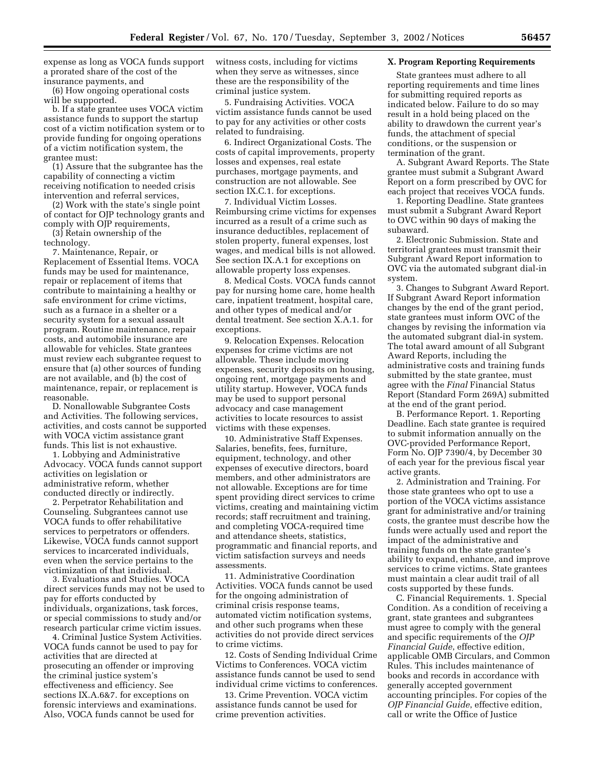expense as long as VOCA funds support a prorated share of the cost of the insurance payments, and

(6) How ongoing operational costs will be supported.

b. If a state grantee uses VOCA victim assistance funds to support the startup cost of a victim notification system or to provide funding for ongoing operations of a victim notification system, the grantee must:

(1) Assure that the subgrantee has the capability of connecting a victim receiving notification to needed crisis intervention and referral services,

(2) Work with the state's single point of contact for OJP technology grants and comply with OJP requirements,

(3) Retain ownership of the technology.

7. Maintenance, Repair, or Replacement of Essential Items. VOCA funds may be used for maintenance, repair or replacement of items that contribute to maintaining a healthy or safe environment for crime victims, such as a furnace in a shelter or a security system for a sexual assault program. Routine maintenance, repair costs, and automobile insurance are allowable for vehicles. State grantees must review each subgrantee request to ensure that (a) other sources of funding are not available, and (b) the cost of maintenance, repair, or replacement is reasonable.

D. Nonallowable Subgrantee Costs and Activities. The following services, activities, and costs cannot be supported with VOCA victim assistance grant funds. This list is not exhaustive.

1. Lobbying and Administrative Advocacy. VOCA funds cannot support activities on legislation or administrative reform, whether conducted directly or indirectly.

2. Perpetrator Rehabilitation and Counseling. Subgrantees cannot use VOCA funds to offer rehabilitative services to perpetrators or offenders. Likewise, VOCA funds cannot support services to incarcerated individuals, even when the service pertains to the victimization of that individual.

3. Evaluations and Studies. VOCA direct services funds may not be used to pay for efforts conducted by individuals, organizations, task forces, or special commissions to study and/or research particular crime victim issues.

4. Criminal Justice System Activities. VOCA funds cannot be used to pay for activities that are directed at prosecuting an offender or improving the criminal justice system's effectiveness and efficiency. See sections IX.A.6&7. for exceptions on forensic interviews and examinations. Also, VOCA funds cannot be used for

witness costs, including for victims when they serve as witnesses, since these are the responsibility of the criminal justice system.

5. Fundraising Activities. VOCA victim assistance funds cannot be used to pay for any activities or other costs related to fundraising.

6. Indirect Organizational Costs. The costs of capital improvements, property losses and expenses, real estate purchases, mortgage payments, and construction are not allowable. See section IX.C.1. for exceptions.

7. Individual Victim Losses. Reimbursing crime victims for expenses incurred as a result of a crime such as insurance deductibles, replacement of stolen property, funeral expenses, lost wages, and medical bills is not allowed. See section IX.A.1 for exceptions on allowable property loss expenses.

8. Medical Costs. VOCA funds cannot pay for nursing home care, home health care, inpatient treatment, hospital care, and other types of medical and/or dental treatment. See section X.A.1. for exceptions.

9. Relocation Expenses. Relocation expenses for crime victims are not allowable. These include moving expenses, security deposits on housing, ongoing rent, mortgage payments and utility startup. However, VOCA funds may be used to support personal advocacy and case management activities to locate resources to assist victims with these expenses.

10. Administrative Staff Expenses. Salaries, benefits, fees, furniture, equipment, technology, and other expenses of executive directors, board members, and other administrators are not allowable. Exceptions are for time spent providing direct services to crime victims, creating and maintaining victim records; staff recruitment and training, and completing VOCA-required time and attendance sheets, statistics, programmatic and financial reports, and victim satisfaction surveys and needs assessments.

11. Administrative Coordination Activities. VOCA funds cannot be used for the ongoing administration of criminal crisis response teams, automated victim notification systems, and other such programs when these activities do not provide direct services to crime victims.

12. Costs of Sending Individual Crime Victims to Conferences. VOCA victim assistance funds cannot be used to send individual crime victims to conferences.

13. Crime Prevention. VOCA victim assistance funds cannot be used for crime prevention activities.

# **X. Program Reporting Requirements**

State grantees must adhere to all reporting requirements and time lines for submitting required reports as indicated below. Failure to do so may result in a hold being placed on the ability to drawdown the current year's funds, the attachment of special conditions, or the suspension or termination of the grant.

A. Subgrant Award Reports. The State grantee must submit a Subgrant Award Report on a form prescribed by OVC for each project that receives VOCA funds.

1. Reporting Deadline. State grantees must submit a Subgrant Award Report to OVC within 90 days of making the subaward.

2. Electronic Submission. State and territorial grantees must transmit their Subgrant Award Report information to OVC via the automated subgrant dial-in system.

3. Changes to Subgrant Award Report. If Subgrant Award Report information changes by the end of the grant period, state grantees must inform OVC of the changes by revising the information via the automated subgrant dial-in system. The total award amount of all Subgrant Award Reports, including the administrative costs and training funds submitted by the state grantee, must agree with the *Final* Financial Status Report (Standard Form 269A) submitted at the end of the grant period.

B. Performance Report. 1. Reporting Deadline. Each state grantee is required to submit information annually on the OVC-provided Performance Report, Form No. OJP 7390/4, by December 30 of each year for the previous fiscal year active grants.

2. Administration and Training. For those state grantees who opt to use a portion of the VOCA victims assistance grant for administrative and/or training costs, the grantee must describe how the funds were actually used and report the impact of the administrative and training funds on the state grantee's ability to expand, enhance, and improve services to crime victims. State grantees must maintain a clear audit trail of all costs supported by these funds.

C. Financial Requirements. 1. Special Condition. As a condition of receiving a grant, state grantees and subgrantees must agree to comply with the general and specific requirements of the *OJP Financial Guide*, effective edition, applicable OMB Circulars, and Common Rules. This includes maintenance of books and records in accordance with generally accepted government accounting principles. For copies of the *OJP Financial Guide*, effective edition, call or write the Office of Justice